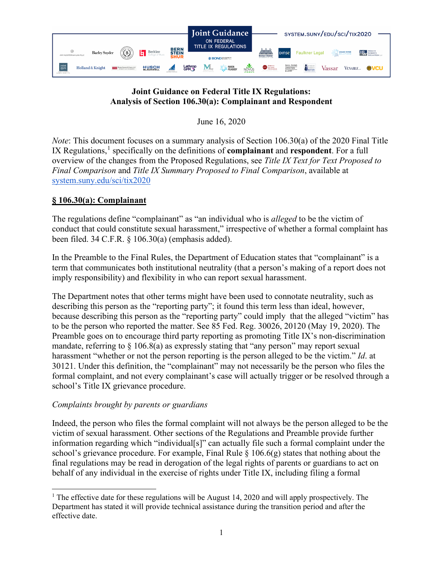

## **Joint Guidance on Federal Title IX Regulations: Analysis of Section 106.30(a): Complainant and Respondent**

June 16, 2020

*Note*: This document focuses on a summary analysis of Section 106.30(a) of the 2020 Final Title IX Regulations,<sup>[1](#page-0-0)</sup> specifically on the definitions of **complainant** and **respondent**. For a full overview of the changes from the Proposed Regulations, see *Title IX Text for Text Proposed to Final Comparison* and *Title IX Summary Proposed to Final Comparison*, available at [system.suny.edu/sci/tix2020](https://system.suny.edu/sci/tix2020/)

# **§ 106.30(a): Complainant**

The regulations define "complainant" as "an individual who is *alleged* to be the victim of conduct that could constitute sexual harassment," irrespective of whether a formal complaint has been filed. 34 C.F.R. § 106.30(a) (emphasis added).

In the Preamble to the Final Rules, the Department of Education states that "complainant" is a term that communicates both institutional neutrality (that a person's making of a report does not imply responsibility) and flexibility in who can report sexual harassment.

The Department notes that other terms might have been used to connotate neutrality, such as describing this person as the "reporting party"; it found this term less than ideal, however, because describing this person as the "reporting party" could imply that the alleged "victim" has to be the person who reported the matter. See 85 Fed. Reg. 30026, 20120 (May 19, 2020). The Preamble goes on to encourage third party reporting as promoting Title IX's non-discrimination mandate, referring to  $\S$  106.8(a) as expressly stating that "any person" may report sexual harassment "whether or not the person reporting is the person alleged to be the victim." *Id*. at 30121. Under this definition, the "complainant" may not necessarily be the person who files the formal complaint, and not every complainant's case will actually trigger or be resolved through a school's Title IX grievance procedure.

## *Complaints brought by parents or guardians*

Indeed, the person who files the formal complaint will not always be the person alleged to be the victim of sexual harassment. Other sections of the Regulations and Preamble provide further information regarding which "individual[s]" can actually file such a formal complaint under the school's grievance procedure. For example, Final Rule  $\S$  106.6(g) states that nothing about the final regulations may be read in derogation of the legal rights of parents or guardians to act on behalf of any individual in the exercise of rights under Title IX, including filing a formal

<span id="page-0-0"></span><sup>&</sup>lt;sup>1</sup> The effective date for these regulations will be August 14, 2020 and will apply prospectively. The Department has stated it will provide technical assistance during the transition period and after the effective date.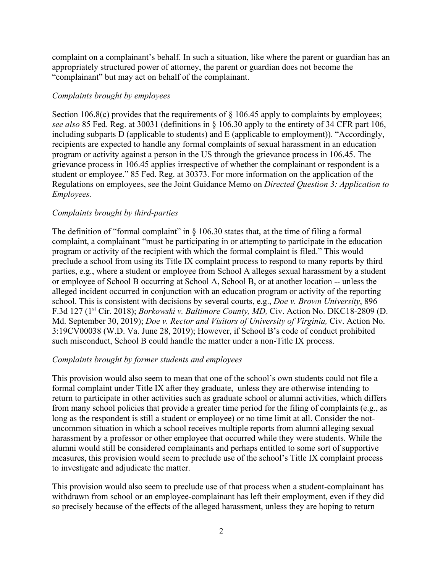complaint on a complainant's behalf. In such a situation, like where the parent or guardian has an appropriately structured power of attorney, the parent or guardian does not become the "complainant" but may act on behalf of the complainant.

#### *Complaints brought by employees*

Section 106.8(c) provides that the requirements of  $\S$  106.45 apply to complaints by employees; *see also* 85 Fed. Reg. at 30031 (definitions in § 106.30 apply to the entirety of 34 CFR part 106, including subparts D (applicable to students) and E (applicable to employment)). "Accordingly, recipients are expected to handle any formal complaints of sexual harassment in an education program or activity against a person in the US through the grievance process in 106.45. The grievance process in 106.45 applies irrespective of whether the complainant or respondent is a student or employee." 85 Fed. Reg. at 30373. For more information on the application of the Regulations on employees, see the Joint Guidance Memo on *Directed Question 3: Application to Employees.*

## *Complaints brought by third-parties*

The definition of "formal complaint" in  $\S$  106.30 states that, at the time of filing a formal complaint, a complainant "must be participating in or attempting to participate in the education program or activity of the recipient with which the formal complaint is filed." This would preclude a school from using its Title IX complaint process to respond to many reports by third parties, e.g., where a student or employee from School A alleges sexual harassment by a student or employee of School B occurring at School A, School B, or at another location -- unless the alleged incident occurred in conjunction with an education program or activity of the reporting school. This is consistent with decisions by several courts, e.g., *Doe v. Brown University*, 896 F.3d 127 (1st Cir. 2018); *Borkowski v. Baltimore County, MD,* Civ. Action No. DKC18-2809 (D. Md. September 30, 2019); *Doe v. Rector and Visitors of University of Virginia*, Civ. Action No. 3:19CV00038 (W.D. Va. June 28, 2019); However, if School B's code of conduct prohibited such misconduct, School B could handle the matter under a non-Title IX process.

## *Complaints brought by former students and employees*

This provision would also seem to mean that one of the school's own students could not file a formal complaint under Title IX after they graduate, unless they are otherwise intending to return to participate in other activities such as graduate school or alumni activities, which differs from many school policies that provide a greater time period for the filing of complaints (e.g., as long as the respondent is still a student or employee) or no time limit at all. Consider the notuncommon situation in which a school receives multiple reports from alumni alleging sexual harassment by a professor or other employee that occurred while they were students. While the alumni would still be considered complainants and perhaps entitled to some sort of supportive measures, this provision would seem to preclude use of the school's Title IX complaint process to investigate and adjudicate the matter.

This provision would also seem to preclude use of that process when a student-complainant has withdrawn from school or an employee-complainant has left their employment, even if they did so precisely because of the effects of the alleged harassment, unless they are hoping to return